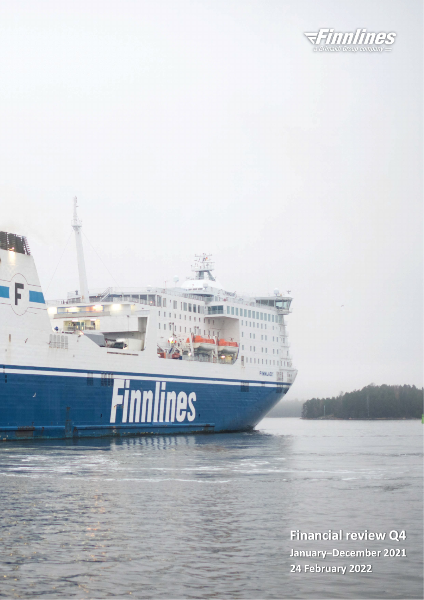

# Finnlines

**PERTITION** 

 $\overline{a}$ 

**Financial review Q4 January–December 2021 24 February 2022**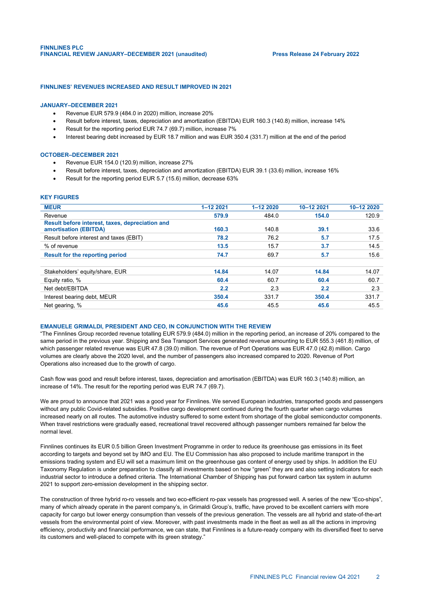## **FINNLINES' REVENUES INCREASED AND RESULT IMPROVED IN 2021**

## **JANUARY–DECEMBER 2021**

- Revenue EUR 579.9 (484.0 in 2020) million, increase 20%
- Result before interest, taxes, depreciation and amortization (EBITDA) EUR 160.3 (140.8) million, increase 14%
- Result for the reporting period EUR 74.7 (69.7) million, increase 7%
- Interest bearing debt increased by EUR 18.7 million and was EUR 350.4 (331.7) million at the end of the period

## **OCTOBER–DECEMBER 2021**

- Revenue EUR 154.0 (120.9) million, increase 27%
- Result before interest, taxes, depreciation and amortization (EBITDA) EUR 39.1 (33.6) million, increase 16%
- Result for the reporting period EUR 5.7 (15.6) million, decrease 63%

## **KEY FIGURES**

| <b>MEUR</b>                                                              | $1 - 1222021$ | 1-12 2020 | 10-12 2021 | 10-12 2020 |
|--------------------------------------------------------------------------|---------------|-----------|------------|------------|
| Revenue                                                                  | 579.9         | 484.0     | 154.0      | 120.9      |
| Result before interest, taxes, depreciation and<br>amortisation (EBITDA) | 160.3         | 140.8     | 39.1       | 33.6       |
| Result before interest and taxes (EBIT)                                  | 78.2          | 76.2      | 5.7        | 17.5       |
| % of revenue                                                             | 13.5          | 15.7      | 3.7        | 14.5       |
| Result for the reporting period                                          | 74.7          | 69.7      | 5.7        | 15.6       |
| Stakeholders' equity/share, EUR                                          | 14.84         | 14.07     | 14.84      | 14.07      |
| Equity ratio, %                                                          | 60.4          | 60.7      | 60.4       | 60.7       |
| Net debt/EBITDA                                                          | 2.2           | 2.3       | 2.2        | 2.3        |
| Interest bearing debt, MEUR                                              | 350.4         | 331.7     | 350.4      | 331.7      |
| Net gearing, %                                                           | 45.6          | 45.5      | 45.6       | 45.5       |

## **EMANUELE GRIMALDI, PRESIDENT AND CEO, IN CONJUNCTION WITH THE REVIEW**

"The Finnlines Group recorded revenue totalling EUR 579.9 (484.0) million in the reporting period, an increase of 20% compared to the same period in the previous year. Shipping and Sea Transport Services generated revenue amounting to EUR 555.3 (461.8) million, of which passenger related revenue was EUR 47.8 (39.0) million. The revenue of Port Operations was EUR 47.0 (42.8) million. Cargo volumes are clearly above the 2020 level, and the number of passengers also increased compared to 2020. Revenue of Port Operations also increased due to the growth of cargo.

Cash flow was good and result before interest, taxes, depreciation and amortisation (EBITDA) was EUR 160.3 (140.8) million, an increase of 14%. The result for the reporting period was EUR 74.7 (69.7).

We are proud to announce that 2021 was a good year for Finnlines. We served European industries, transported goods and passengers without any public Covid-related subsidies. Positive cargo development continued during the fourth quarter when cargo volumes increased nearly on all routes. The automotive industry suffered to some extent from shortage of the global semiconductor components. When travel restrictions were gradually eased, recreational travel recovered although passenger numbers remained far below the normal level.

Finnlines continues its EUR 0.5 billion Green Investment Programme in order to reduce its greenhouse gas emissions in its fleet according to targets and beyond set by IMO and EU. The EU Commission has also proposed to include maritime transport in the emissions trading system and EU will set a maximum limit on the greenhouse gas content of energy used by ships. In addition the EU Taxonomy Regulation is under preparation to classify all investments based on how "green" they are and also setting indicators for each industrial sector to introduce a defined criteria. The International Chamber of Shipping has put forward carbon tax system in autumn 2021 to support zero-emission development in the shipping sector.

The construction of three hybrid ro-ro vessels and two eco-efficient ro-pax vessels has progressed well. A series of the new "Eco-ships", many of which already operate in the parent company's, in Grimaldi Group's, traffic, have proved to be excellent carriers with more capacity for cargo but lower energy consumption than vessels of the previous generation. The vessels are all hybrid and state-of-the-art vessels from the environmental point of view. Moreover, with past investments made in the fleet as well as all the actions in improving efficiency, productivity and financial performance, we can state, that Finnlines is a future-ready company with its diversified fleet to serve its customers and well-placed to compete with its green strategy."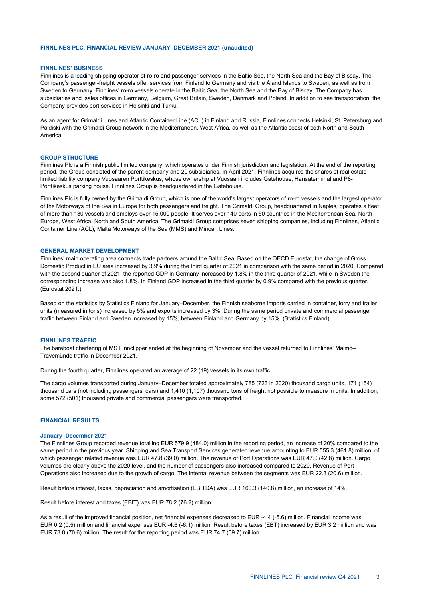## **FINNLINES PLC, FINANCIAL REVIEW JANUARY–DECEMBER 2021 (unaudited)**

## **FINNLINES' BUSINESS**

Finnlines is a leading shipping operator of ro-ro and passenger services in the Baltic Sea, the North Sea and the Bay of Biscay. The Company's passenger-freight vessels offer services from Finland to Germany and via the Åland Islands to Sweden, as well as from Sweden to Germany. Finnlines' ro-ro vessels operate in the Baltic Sea, the North Sea and the Bay of Biscay. The Company has subsidiaries and sales offices in Germany, Belgium, Great Britain, Sweden, Denmark and Poland. In addition to sea transportation, the Company provides port services in Helsinki and Turku.

As an agent for Grimaldi Lines and Atlantic Container Line (ACL) in Finland and Russia, Finnlines connects Helsinki, St. Petersburg and Paldiski with the Grimaldi Group network in the Mediterranean, West Africa, as well as the Atlantic coast of both North and South America.

#### **GROUP STRUCTURE**

Finnlines Plc is a Finnish public limited company, which operates under Finnish jurisdiction and legislation. At the end of the reporting period, the Group consisted of the parent company and 20 subsidiaries. In April 2021, Finnlines acquired the shares of real estate limited liability company Vuosaaren Porttikeskus, whose ownership at Vuosaari includes Gatehouse, Hansaterminal and P8- Porttikeskus parking house. Finnlines Group is headquartered in the Gatehouse.

Finnlines Plc is fully owned by the Grimaldi Group, which is one of the world's largest operators of ro-ro vessels and the largest operator of the Motorways of the Sea in Europe for both passengers and freight. The Grimaldi Group, headquartered in Naples, operates a fleet of more than 130 vessels and employs over 15,000 people. It serves over 140 ports in 50 countries in the Mediterranean Sea, North Europe, West Africa, North and South America. The Grimaldi Group comprises seven shipping companies, including Finnlines, Atlantic Container Line (ACL), Malta Motorways of the Sea (MMS) and Minoan Lines.

#### **GENERAL MARKET DEVELOPMENT**

Finnlines' main operating area connects trade partners around the Baltic Sea. Based on the OECD Eurostat, the change of Gross Domestic Product in EU area increased by 3.9% during the third quarter of 2021 in comparison with the same period in 2020. Compared with the second quarter of 2021, the reported GDP in Germany increased by 1.8% in the third quarter of 2021, while in Sweden the corresponding increase was also 1.8%. In Finland GDP increased in the third quarter by 0.9% compared with the previous quarter. (Eurostat 2021.)

Based on the statistics by Statistics Finland for January–December, the Finnish seaborne imports carried in container, lorry and trailer units (measured in tons) increased by 5% and exports increased by 3%. During the same period private and commercial passenger traffic between Finland and Sweden increased by 15%, between Finland and Germany by 15%. (Statistics Finland).

#### **FINNLINES TRAFFIC**

The bareboat chartering of MS Finnclipper ended at the beginning of November and the vessel returned to Finnlines' Malmö– Travemünde traffic in December 2021.

During the fourth quarter, Finnlines operated an average of 22 (19) vessels in its own traffic.

The cargo volumes transported during January–December totaled approximately 785 (723 in 2020) thousand cargo units, 171 (154) thousand cars (not including passengers' cars) and 1,410 (1,107) thousand tons of freight not possible to measure in units. In addition, some 572 (501) thousand private and commercial passengers were transported.

## **FINANCIAL RESULTS**

#### **January–December 2021**

The Finnlines Group recorded revenue totalling EUR 579.9 (484.0) million in the reporting period, an increase of 20% compared to the same period in the previous year. Shipping and Sea Transport Services generated revenue amounting to EUR 555.3 (461.8) million, of which passenger related revenue was EUR 47.8 (39.0) million. The revenue of Port Operations was EUR 47.0 (42.8) million. Cargo volumes are clearly above the 2020 level, and the number of passengers also increased compared to 2020. Revenue of Port Operations also increased due to the growth of cargo. The internal revenue between the segments was EUR 22.3 (20.6) million.

Result before interest, taxes, depreciation and amortisation (EBITDA) was EUR 160.3 (140.8) million, an increase of 14%.

Result before interest and taxes (EBIT) was EUR 78.2 (76.2) million.

As a result of the improved financial position, net financial expenses decreased to EUR -4.4 (-5.6) million. Financial income was EUR 0.2 (0.5) million and financial expenses EUR -4.6 (-6.1) million. Result before taxes (EBT) increased by EUR 3.2 million and was EUR 73.8 (70.6) million. The result for the reporting period was EUR 74.7 (69.7) million.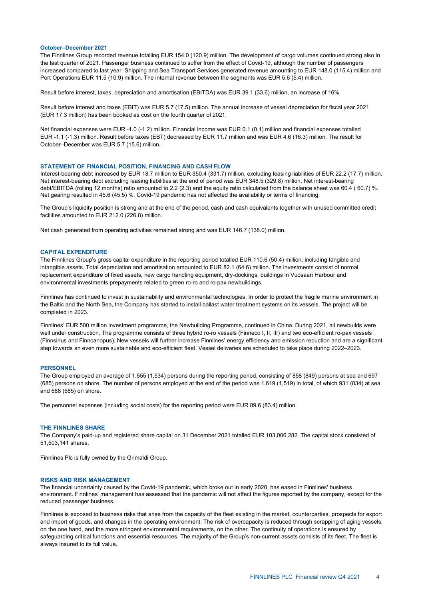#### **October–December 2021**

The Finnlines Group recorded revenue totalling EUR 154.0 (120.9) million. The development of cargo volumes continued strong also in the last quarter of 2021. Passenger business continued to suffer from the effect of Covid-19, although the number of passengers increased compared to last year. Shipping and Sea Transport Services generated revenue amounting to EUR 148.0 (115.4) million and Port Operations EUR 11.5 (10.9) million. The internal revenue between the segments was EUR 5.6 (5.4) million.

Result before interest, taxes, depreciation and amortisation (EBITDA) was EUR 39.1 (33.6) million, an increase of 16%.

Result before interest and taxes (EBIT) was EUR 5.7 (17.5) million. The annual increase of vessel depreciation for fiscal year 2021 (EUR 17.3 million) has been booked as cost on the fourth quarter of 2021.

Net financial expenses were EUR -1.0 (-1.2) million. Financial income was EUR 0.1 (0.1) million and financial expenses totalled EUR -1.1 (-1.3) million. Result before taxes (EBT) decreased by EUR 11.7 million and was EUR 4.6 (16.3) million. The result for October–December was EUR 5.7 (15.6) million.

## **STATEMENT OF FINANCIAL POSITION, FINANCING AND CASH FLOW**

Interest-bearing debt increased by EUR 18.7 million to EUR 350.4 (331.7) million, excluding leasing liabilities of EUR 22.2 (17.7) million. Net interest-bearing debt excluding leasing liabilities at the end of period was EUR 348.5 (329.8) million. Net interest-bearing debt/EBITDA (rolling 12 months) ratio amounted to 2.2 (2.3) and the equity ratio calculated from the balance sheet was 60.4 ( 60.7) %. Net gearing resulted in 45.6 (45.5) %. Covid-19 pandemic has not affected the availability or terms of financing.

The Group's liquidity position is strong and at the end of the period, cash and cash equivalents together with unused committed credit facilities amounted to EUR 212.0 (226.8) million.

Net cash generated from operating activities remained strong and was EUR 146.7 (138.0) million.

## **CAPITAL EXPENDITURE**

The Finnlines Group's gross capital expenditure in the reporting period totalled EUR 110.6 (50.4) million, including tangible and intangible assets. Total depreciation and amortisation amounted to EUR 82.1 (64.6) million. The investments consist of normal replacement expenditure of fixed assets, new cargo handling equipment, dry-dockings, buildings in Vuosaari Harbour and environmental investments prepayments related to green ro-ro and ro-pax newbuildings.

Finnlines has continued to invest in sustainability and environmental technologies. In order to protect the fragile marine environment in the Baltic and the North Sea, the Company has started to install ballast water treatment systems on its vessels. The project will be completed in 2023.

Finnlines' EUR 500 million investment programme, the Newbuilding Programme, continued in China. During 2021, all newbuilds were well under construction. The programme consists of three hybrid ro-ro vessels (Finneco I, II, III) and two eco-efficient ro-pax vessels (Finnsirius and Finncanopus). New vessels will further increase Finnlines' energy efficiency and emission reduction and are a significant step towards an even more sustainable and eco-efficient fleet. Vessel deliveries are scheduled to take place during 2022–2023.

### **PERSONNEL**

The Group employed an average of 1,555 (1,534) persons during the reporting period, consisting of 858 (849) persons at sea and 697 (685) persons on shore. The number of persons employed at the end of the period was 1,619 (1,519) in total, of which 931 (834) at sea and 688 (685) on shore.

The personnel expenses (including social costs) for the reporting period were EUR 89.6 (83.4) million.

## **THE FINNLINES SHARE**

The Company's paid-up and registered share capital on 31 December 2021 totalled EUR 103,006,282. The capital stock consisted of 51,503,141 shares.

Finnlines Plc is fully owned by the Grimaldi Group.

## **RISKS AND RISK MANAGEMENT**

The financial uncertainty caused by the Covid-19 pandemic, which broke out in early 2020, has eased in Finnlines' business environment. Finnlines' management has assessed that the pandemic will not affect the figures reported by the company, except for the reduced passenger business.

Finnlines is exposed to business risks that arise from the capacity of the fleet existing in the market, counterparties, prospects for export and import of goods, and changes in the operating environment. The risk of overcapacity is reduced through scrapping of aging vessels, on the one hand, and the more stringent environmental requirements, on the other. The continuity of operations is ensured by safeguarding critical functions and essential resources. The majority of the Group's non-current assets consists of its fleet. The fleet is always insured to its full value.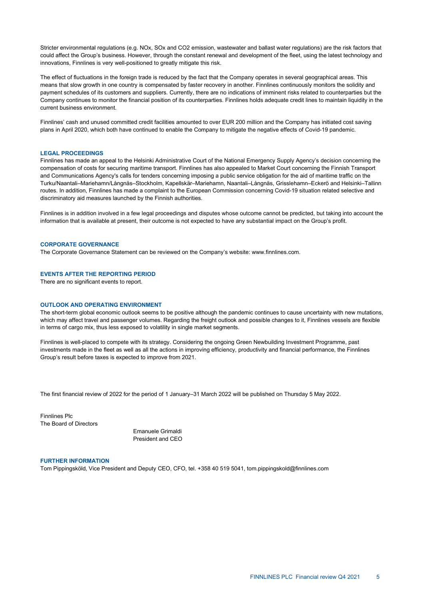Stricter environmental regulations (e.g. NOx, SOx and CO2 emission, wastewater and ballast water regulations) are the risk factors that could affect the Group's business. However, through the constant renewal and development of the fleet, using the latest technology and innovations, Finnlines is very well-positioned to greatly mitigate this risk.

The effect of fluctuations in the foreign trade is reduced by the fact that the Company operates in several geographical areas. This means that slow growth in one country is compensated by faster recovery in another. Finnlines continuously monitors the solidity and payment schedules of its customers and suppliers. Currently, there are no indications of imminent risks related to counterparties but the Company continues to monitor the financial position of its counterparties. Finnlines holds adequate credit lines to maintain liquidity in the current business environment.

Finnlines' cash and unused committed credit facilities amounted to over EUR 200 million and the Company has initiated cost saving plans in April 2020, which both have continued to enable the Company to mitigate the negative effects of Covid-19 pandemic.

## **LEGAL PROCEEDINGS**

Finnlines has made an appeal to the Helsinki Administrative Court of the National Emergency Supply Agency's decision concerning the compensation of costs for securing maritime transport. Finnlines has also appealed to Market Court concerning the Finnish Transport and Communications Agency's calls for tenders concerning imposing a public service obligation for the aid of maritime traffic on the Turku/Naantali–Mariehamn/Långnäs–Stockholm, Kapellskär–Mariehamn, Naantali–Långnäs, Grisslehamn–Eckerö and Helsinki–Tallinn routes. In addition, Finnlines has made a complaint to the European Commission concerning Covid-19 situation related selective and discriminatory aid measures launched by the Finnish authorities.

Finnlines is in addition involved in a few legal proceedings and disputes whose outcome cannot be predicted, but taking into account the information that is available at present, their outcome is not expected to have any substantial impact on the Group's profit.

## **CORPORATE GOVERNANCE**

The Corporate Governance Statement can be reviewed on the Company's website: www.finnlines.com.

## **EVENTS AFTER THE REPORTING PERIOD**

There are no significant events to report.

## **OUTLOOK AND OPERATING ENVIRONMENT**

The short-term global economic outlook seems to be positive although the pandemic continues to cause uncertainty with new mutations, which may affect travel and passenger volumes. Regarding the freight outlook and possible changes to it, Finnlines vessels are flexible in terms of cargo mix, thus less exposed to volatility in single market segments.

Finnlines is well-placed to compete with its strategy. Considering the ongoing Green Newbuilding Investment Programme, past investments made in the fleet as well as all the actions in improving efficiency, productivity and financial performance, the Finnlines Group's result before taxes is expected to improve from 2021.

The first financial review of 2022 for the period of 1 January–31 March 2022 will be published on Thursday 5 May 2022.

Finnlines Plc The Board of Directors

> Emanuele Grimaldi President and CEO

#### **FURTHER INFORMATION**

Tom Pippingsköld, Vice President and Deputy CEO, CFO, tel. +358 40 519 5041, tom.pippingskold@finnlines.com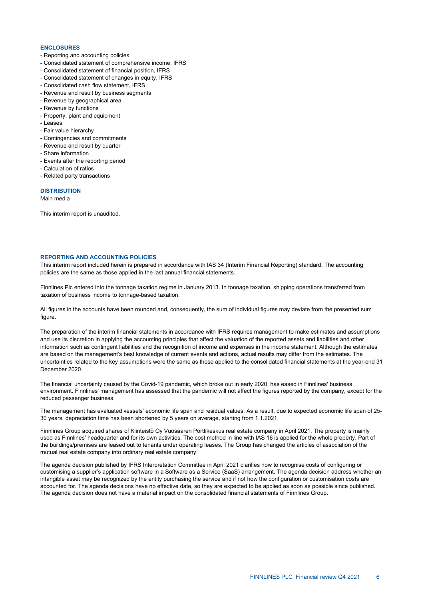## **ENCLOSURES**

- Reporting and accounting policies
- Consolidated statement of comprehensive income, IFRS
- Consolidated statement of financial position, IFRS
- Consolidated statement of changes in equity, IFRS
- Consolidated cash flow statement, IFRS
- Revenue and result by business segments
- Revenue by geographical area
- Revenue by functions
- Property, plant and equipment
- Leases
- Fair value hierarchy
- Contingencies and commitments
- Revenue and result by quarter
- Share information - Events after the reporting period
- 
- Calculation of ratios
- Related party transactions

## **DISTRIBUTION**

Main media

This interim report is unaudited.

## **REPORTING AND ACCOUNTING POLICIES**

This interim report included herein is prepared in accordance with IAS 34 (Interim Financial Reporting) standard. The accounting policies are the same as those applied in the last annual financial statements.

Finnlines Plc entered into the tonnage taxation regime in January 2013. In tonnage taxation, shipping operations transferred from taxation of business income to tonnage-based taxation.

All figures in the accounts have been rounded and, consequently, the sum of individual figures may deviate from the presented sum figure.

The preparation of the interim financial statements in accordance with IFRS requires management to make estimates and assumptions and use its discretion in applying the accounting principles that affect the valuation of the reported assets and liabilities and other information such as contingent liabilities and the recognition of income and expenses in the income statement. Although the estimates are based on the management's best knowledge of current events and actions, actual results may differ from the estimates. The uncertainties related to the key assumptions were the same as those applied to the consolidated financial statements at the year-end 31 December 2020.

The financial uncertainty caused by the Covid-19 pandemic, which broke out in early 2020, has eased in Finnlines' business environment. Finnlines' management has assessed that the pandemic will not affect the figures reported by the company, except for the reduced passenger business.

The management has evaluated vessels' economic life span and residual values. As a result, due to expected economic life span of 25- 30 years, depreciation time has been shortened by 5 years on average, starting from 1.1.2021.

Finnlines Group acquired shares of Kiinteistö Oy Vuosaaren Porttikeskus real estate company in April 2021. The property is mainly used as Finnlines' headquarter and for its own activities. The cost method in line with IAS 16 is applied for the whole property. Part of the buildings/premises are leased out to tenants under operating leases. The Group has changed the articles of association of the mutual real estate company into ordinary real estate company.

The agenda decision published by IFRS Interpretation Committee in April 2021 clarifies how to recognise costs of configuring or customising a supplier's application software in a Software as a Service (SaaS) arrangement. The agenda decision address whether an intangible asset may be recognized by the entity purchasing the service and if not how the configuration or customisation costs are accounted for. The agenda decisions have no effective date, so they are expected to be applied as soon as possible since published. The agenda decision does not have a material impact on the consolidated financial statements of Finnlines Group.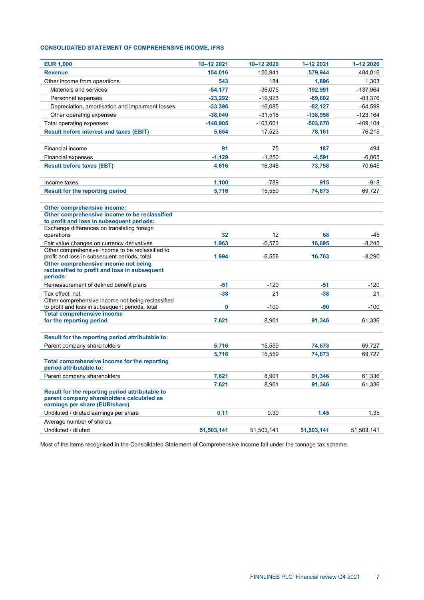# **CONSOLIDATED STATEMENT OF COMPREHENSIVE INCOME, IFRS**

| <b>EUR 1,000</b>                                                                         | 10-12 2021 | 10-12 2020 | 1-12 2021  | 1-12 2020   |
|------------------------------------------------------------------------------------------|------------|------------|------------|-------------|
| <b>Revenue</b>                                                                           | 154,016    | 120,941    | 579,944    | 484,016     |
| Other income from operations                                                             | 543        | 184        | 1,896      | 1,303       |
| Materials and services                                                                   | $-54,177$  | $-36,075$  | $-192,991$ | $-137,964$  |
| Personnel expenses                                                                       | $-23,292$  | $-19,923$  | $-89,602$  | $-83,376$   |
| Depreciation, amortisation and impairment losses                                         | $-33,396$  | $-16,085$  | $-82,127$  | $-64,599$   |
| Other operating expenses                                                                 | $-38,040$  | $-31,518$  | $-138,958$ | $-123,164$  |
| Total operating expenses                                                                 | $-148,905$ | $-103,601$ | $-503,678$ | $-409, 104$ |
| <b>Result before interest and taxes (EBIT)</b>                                           | 5.654      | 17,523     | 78,161     | 76.215      |
|                                                                                          |            |            |            |             |
| Financial income                                                                         | 91         | 75         | 187        | 494         |
| <b>Financial expenses</b>                                                                | $-1,129$   | $-1,250$   | $-4,591$   | $-6,065$    |
| <b>Result before taxes (EBT)</b>                                                         | 4,616      | 16,348     | 73,758     | 70,645      |
|                                                                                          |            |            |            |             |
| Income taxes                                                                             | 1,100      | -789       | 915        | -918        |
| <b>Result for the reporting period</b>                                                   | 5,716      | 15,559     | 74,673     | 69,727      |
|                                                                                          |            |            |            |             |
| Other comprehensive income:                                                              |            |            |            |             |
| Other comprehensive income to be reclassified                                            |            |            |            |             |
| to profit and loss in subsequent periods:<br>Exchange differences on translating foreign |            |            |            |             |
| operations                                                                               | 32         | 12         | 68         | -45         |
| Fair value changes on currency derivatives                                               | 1,963      | $-6,570$   | 16,695     | $-8,245$    |
| Other comprehensive income to be reclassified to                                         |            |            |            |             |
| profit and loss in subsequent periods, total                                             | 1,994      | $-6,558$   | 16,763     | $-8,290$    |
| Other comprehensive income not being<br>reclassified to profit and loss in subsequent    |            |            |            |             |
| periods:                                                                                 |            |            |            |             |
| Remeasurement of defined benefit plans                                                   | -51        | $-120$     | $-51$      | $-120$      |
| Tax effect, net                                                                          | $-38$      | 21         | $-38$      | 21          |
| Other comprehensive income not being reclassified                                        |            |            |            |             |
| to profit and loss in subsequent periods, total                                          | 0          | $-100$     | $-90$      | $-100$      |
| <b>Total comprehensive income</b><br>for the reporting period                            | 7,621      | 8,901      | 91,346     | 61,336      |
|                                                                                          |            |            |            |             |
| Result for the reporting period attributable to:                                         |            |            |            |             |
| Parent company shareholders                                                              | 5,716      | 15,559     | 74,673     | 69,727      |
|                                                                                          | 5,716      | 15.559     | 74,673     | 69,727      |
| Total comprehensive income for the reporting                                             |            |            |            |             |
| period attributable to:                                                                  |            |            |            |             |
| Parent company shareholders                                                              | 7,621      | 8,901      | 91,346     | 61,336      |
|                                                                                          | 7,621      | 8,901      | 91,346     | 61,336      |
| Result for the reporting period attributable to                                          |            |            |            |             |
| parent company shareholders calculated as                                                |            |            |            |             |
| earnings per share (EUR/share)                                                           |            |            |            |             |
| Undiluted / diluted earnings per share                                                   | 0.11       | 0.30       | 1.45       | 1.35        |
| Average number of shares                                                                 |            |            |            |             |
| Undiluted / diluted                                                                      | 51,503,141 | 51,503,141 | 51,503,141 | 51,503,141  |

Most of the items recognised in the Consolidated Statement of Comprehensive Income fall under the tonnage tax scheme.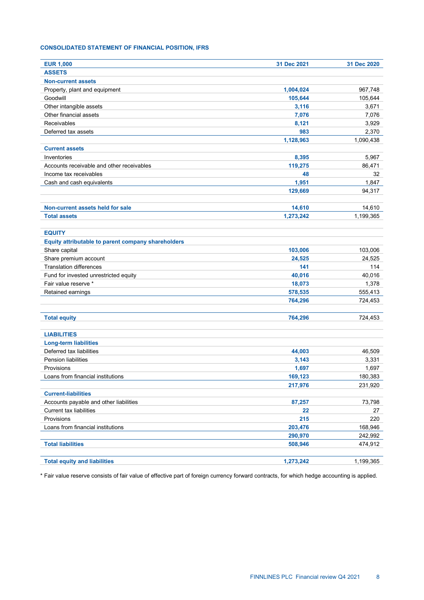# **CONSOLIDATED STATEMENT OF FINANCIAL POSITION, IFRS**

| <b>EUR 1,000</b>                                   | 31 Dec 2021 | 31 Dec 2020 |
|----------------------------------------------------|-------------|-------------|
| <b>ASSETS</b>                                      |             |             |
| <b>Non-current assets</b>                          |             |             |
| Property, plant and equipment                      | 1,004,024   | 967,748     |
| Goodwill                                           | 105.644     | 105,644     |
| Other intangible assets                            | 3,116       | 3,671       |
| Other financial assets                             | 7,076       | 7,076       |
| Receivables                                        | 8,121       | 3,929       |
| Deferred tax assets                                | 983         | 2,370       |
|                                                    | 1,128,963   | 1,090,438   |
| <b>Current assets</b>                              |             |             |
| Inventories                                        | 8,395       | 5,967       |
| Accounts receivable and other receivables          | 119,275     | 86,471      |
| Income tax receivables                             | 48          | 32          |
| Cash and cash equivalents                          | 1,951       | 1,847       |
|                                                    | 129,669     | 94,317      |
| Non-current assets held for sale                   | 14,610      | 14,610      |
| <b>Total assets</b>                                | 1,273,242   | 1,199,365   |
|                                                    |             |             |
| <b>EQUITY</b>                                      |             |             |
| Equity attributable to parent company shareholders |             |             |
| Share capital                                      | 103,006     | 103,006     |
| Share premium account                              | 24,525      | 24,525      |
| <b>Translation differences</b>                     | 141         | 114         |
| Fund for invested unrestricted equity              | 40,016      | 40,016      |
| Fair value reserve *                               | 18,073      | 1,378       |
| Retained earnings                                  | 578,535     | 555,413     |
|                                                    | 764,296     | 724,453     |
| <b>Total equity</b>                                | 764,296     | 724,453     |
| <b>LIABILITIES</b>                                 |             |             |
| <b>Long-term liabilities</b>                       |             |             |
| Deferred tax liabilities                           | 44,003      | 46,509      |
| <b>Pension liabilities</b>                         | 3,143       | 3,331       |
| Provisions                                         | 1,697       | 1,697       |
| Loans from financial institutions                  | 169,123     | 180,383     |
|                                                    | 217,976     | 231,920     |
| <b>Current-liabilities</b>                         |             |             |
| Accounts payable and other liabilities             | 87,257      | 73,798      |
| <b>Current tax liabilities</b>                     | 22          | 27          |
| Provisions                                         | 215         | 220         |
| Loans from financial institutions                  | 203,476     | 168,946     |
|                                                    | 290,970     | 242,992     |
| <b>Total liabilities</b>                           | 508,946     | 474,912     |
|                                                    |             |             |
| <b>Total equity and liabilities</b>                | 1,273,242   | 1,199,365   |

\* Fair value reserve consists of fair value of effective part of foreign currency forward contracts, for which hedge accounting is applied.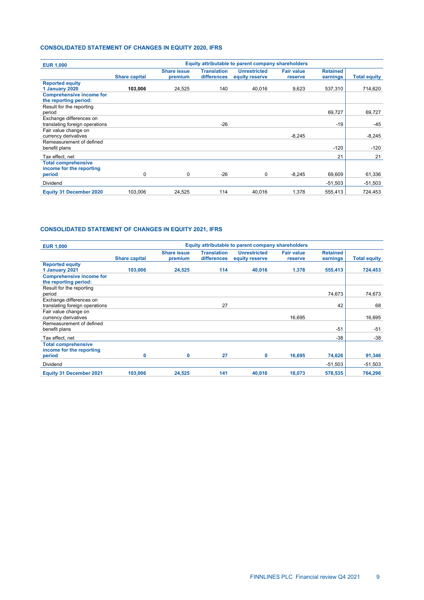# **CONSOLIDATED STATEMENT OF CHANGES IN EQUITY 2020, IFRS**

| <b>EUR 1,000</b>                                          | Equity attributable to parent company shareholders |                               |                                   |                                       |                              |                             |                     |  |
|-----------------------------------------------------------|----------------------------------------------------|-------------------------------|-----------------------------------|---------------------------------------|------------------------------|-----------------------------|---------------------|--|
|                                                           | <b>Share capital</b>                               | <b>Share issue</b><br>premium | <b>Translation</b><br>differences | <b>Unrestricted</b><br>equity reserve | <b>Fair value</b><br>reserve | <b>Retained</b><br>earnings | <b>Total equity</b> |  |
| <b>Reported equity</b><br>1 January 2020                  | 103,006                                            | 24,525                        | 140                               | 40.016                                | 9.623                        | 537,310                     | 714,620             |  |
| <b>Comprehensive income for</b><br>the reporting period:  |                                                    |                               |                                   |                                       |                              |                             |                     |  |
| Result for the reporting<br>period                        |                                                    |                               |                                   |                                       |                              | 69,727                      | 69,727              |  |
| Exchange differences on<br>translating foreign operations |                                                    |                               | $-26$                             |                                       |                              | $-19$                       | -45                 |  |
| Fair value change on<br>currency derivatives              |                                                    |                               |                                   |                                       | $-8,245$                     |                             | $-8,245$            |  |
| Remeasurement of defined<br>benefit plans                 |                                                    |                               |                                   |                                       |                              | $-120$                      | $-120$              |  |
| Tax effect, net                                           |                                                    |                               |                                   |                                       |                              | 21                          | 21                  |  |
| <b>Total comprehensive</b><br>income for the reporting    |                                                    |                               |                                   |                                       |                              |                             |                     |  |
| period                                                    | $\mathbf 0$                                        | 0                             | $-26$                             | $\Omega$                              | $-8.245$                     | 69,609                      | 61,336              |  |
| <b>Dividend</b>                                           |                                                    |                               |                                   |                                       |                              | $-51,503$                   | $-51,503$           |  |
| <b>Equity 31 December 2020</b>                            | 103,006                                            | 24,525                        | 114                               | 40,016                                | 1,378                        | 555,413                     | 724,453             |  |

# **CONSOLIDATED STATEMENT OF CHANGES IN EQUITY 2021, IFRS**

| <b>EUR 1,000</b>                                          | Equity attributable to parent company shareholders |                               |                                   |                                       |                              |                             |                     |
|-----------------------------------------------------------|----------------------------------------------------|-------------------------------|-----------------------------------|---------------------------------------|------------------------------|-----------------------------|---------------------|
|                                                           | <b>Share capital</b>                               | <b>Share issue</b><br>premium | <b>Translation</b><br>differences | <b>Unrestricted</b><br>equity reserve | <b>Fair value</b><br>reserve | <b>Retained</b><br>earnings | <b>Total equity</b> |
| <b>Reported equity</b><br>1 January 2021                  | 103,006                                            | 24,525                        | 114                               | 40,016                                | 1,378                        | 555,413                     | 724,453             |
| <b>Comprehensive income for</b><br>the reporting period:  |                                                    |                               |                                   |                                       |                              |                             |                     |
| Result for the reporting<br>period                        |                                                    |                               |                                   |                                       |                              | 74,673                      | 74,673              |
| Exchange differences on<br>translating foreign operations |                                                    |                               | 27                                |                                       |                              | 42                          | 68                  |
| Fair value change on<br>currency derivatives              |                                                    |                               |                                   |                                       | 16.695                       |                             | 16,695              |
| Remeasurement of defined<br>benefit plans                 |                                                    |                               |                                   |                                       |                              | $-51$                       | $-51$               |
| Tax effect, net                                           |                                                    |                               |                                   |                                       |                              | $-38$                       | $-38$               |
| <b>Total comprehensive</b><br>income for the reporting    |                                                    |                               | 27                                |                                       |                              |                             |                     |
| period<br><b>Dividend</b>                                 | 0                                                  | 0                             |                                   | 0                                     | 16,695                       | 74,626<br>$-51,503$         | 91,346<br>$-51,503$ |
| <b>Equity 31 December 2021</b>                            | 103,006                                            | 24,525                        | 141                               | 40,016                                | 18,073                       | 578,535                     | 764,296             |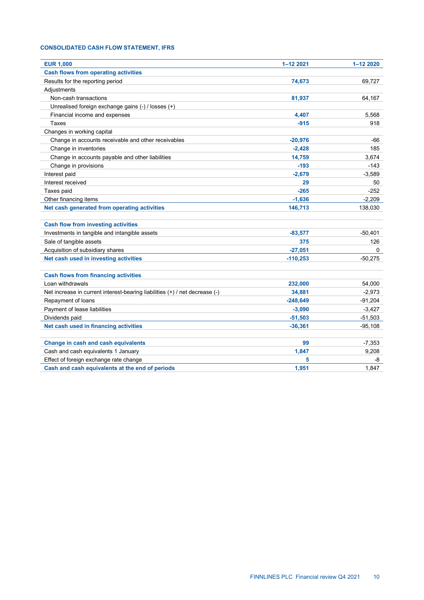# **CONSOLIDATED CASH FLOW STATEMENT, IFRS**

| <b>EUR 1,000</b>                                                            | 1-12 2021  | 1-12 2020 |
|-----------------------------------------------------------------------------|------------|-----------|
| <b>Cash flows from operating activities</b>                                 |            |           |
| Results for the reporting period                                            | 74,673     | 69,727    |
| Adjustments                                                                 |            |           |
| Non-cash transactions                                                       | 81,937     | 64,167    |
| Unrealised foreign exchange gains (-) / losses (+)                          |            |           |
| Financial income and expenses                                               | 4,407      | 5,568     |
| <b>Taxes</b>                                                                | $-915$     | 918       |
| Changes in working capital                                                  |            |           |
| Change in accounts receivable and other receivables                         | $-20,976$  | -66       |
| Change in inventories                                                       | $-2,428$   | 185       |
| Change in accounts payable and other liabilities                            | 14,759     | 3,674     |
| Change in provisions                                                        | $-193$     | $-143$    |
| Interest paid                                                               | $-2,679$   | $-3,589$  |
| Interest received                                                           | 29         | 50        |
| Taxes paid                                                                  | $-265$     | $-252$    |
| Other financing items                                                       | $-1,636$   | $-2,209$  |
| Net cash generated from operating activities                                | 146,713    | 138,030   |
|                                                                             |            |           |
| <b>Cash flow from investing activities</b>                                  |            |           |
| Investments in tangible and intangible assets                               | $-83,577$  | $-50,401$ |
| Sale of tangible assets                                                     | 375        | 126       |
| Acquisition of subsidiary shares                                            | $-27,051$  |           |
| Net cash used in investing activities                                       | $-110,253$ | $-50,275$ |
|                                                                             |            |           |
| <b>Cash flows from financing activities</b>                                 |            |           |
| Loan withdrawals                                                            | 232,000    | 54,000    |
| Net increase in current interest-bearing liabilities (+) / net decrease (-) | 34.881     | $-2,973$  |
| Repayment of loans                                                          | $-248,649$ | $-91,204$ |
| Payment of lease liabilities                                                | $-3,090$   | $-3,427$  |
| Dividends paid                                                              | $-51,503$  | $-51,503$ |
| Net cash used in financing activities                                       | $-36,361$  | $-95,108$ |
|                                                                             |            |           |
| Change in cash and cash equivalents                                         | 99         | $-7,353$  |
| Cash and cash equivalents 1 January                                         | 1,847      | 9,208     |
| Effect of foreign exchange rate change                                      | 5          | -8        |
| Cash and cash equivalents at the end of periods                             | 1,951      | 1,847     |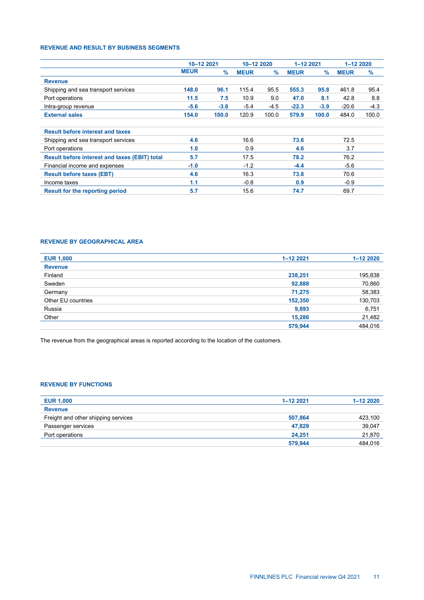## **REVENUE AND RESULT BY BUSINESS SEGMENTS**

|                                                      | 10-12 2021  |               | 10-12 2020  |               | 1-12 2021   |               | 1-12 2020   |        |
|------------------------------------------------------|-------------|---------------|-------------|---------------|-------------|---------------|-------------|--------|
|                                                      | <b>MEUR</b> | $\frac{9}{6}$ | <b>MEUR</b> | $\frac{9}{6}$ | <b>MEUR</b> | $\frac{9}{6}$ | <b>MEUR</b> | $\%$   |
| <b>Revenue</b>                                       |             |               |             |               |             |               |             |        |
| Shipping and sea transport services                  | 148.0       | 96.1          | 115.4       | 95.5          | 555.3       | 95.8          | 461.8       | 95.4   |
| Port operations                                      | 11.5        | 7.5           | 10.9        | 9.0           | 47.0        | 8.1           | 42.8        | 8.8    |
| Intra-group revenue                                  | $-5.6$      | $-3.6$        | $-5.4$      | -4.5          | $-22.3$     | $-3.9$        | $-20.6$     | $-4.3$ |
| <b>External sales</b>                                | 154.0       | 100.0         | 120.9       | 100.0         | 579.9       | 100.0         | 484.0       | 100.0  |
| <b>Result before interest and taxes</b>              |             |               |             |               |             |               |             |        |
| Shipping and sea transport services                  | 4.6         |               | 16.6        |               | 73.6        |               | 72.5        |        |
| Port operations                                      | 1.0         |               | 0.9         |               | 4.6         |               | 3.7         |        |
| <b>Result before interest and taxes (EBIT) total</b> | 5.7         |               | 17.5        |               | 78.2        |               | 76.2        |        |
| Financial income and expenses                        | $-1.0$      |               | $-1.2$      |               | $-4.4$      |               | $-5.6$      |        |
| <b>Result before taxes (EBT)</b>                     | 4.6         |               | 16.3        |               | 73.8        |               | 70.6        |        |
| Income taxes                                         | 1.1         |               | $-0.8$      |               | 0.9         |               | $-0.9$      |        |
| Result for the reporting period                      | 5.7         |               | 15.6        |               | 74.7        |               | 69.7        |        |

# **REVENUE BY GEOGRAPHICAL AREA**

| <b>EUR 1,000</b>   | $1 - 122021$ | $1 - 122020$ |
|--------------------|--------------|--------------|
| <b>Revenue</b>     |              |              |
| Finland            | 238,251      | 195,838      |
| Sweden             | 92,888       | 70,860       |
| Germany            | 71,275       | 58,383       |
| Other EU countries | 152,350      | 130,703      |
| Russia             | 9,893        | 6,751        |
| Other              | 15,286       | 21,482       |
|                    | 579,944      | 484,016      |

The revenue from the geographical areas is reported according to the location of the customers.

# **REVENUE BY FUNCTIONS**

| <b>EUR 1,000</b>                    | $1 - 122021$ | $1 - 122020$ |
|-------------------------------------|--------------|--------------|
| <b>Revenue</b>                      |              |              |
| Freight and other shipping services | 507,864      | 423,100      |
| Passenger services                  | 47.829       | 39,047       |
| Port operations                     | 24.251       | 21,870       |
|                                     | 579,944      | 484.016      |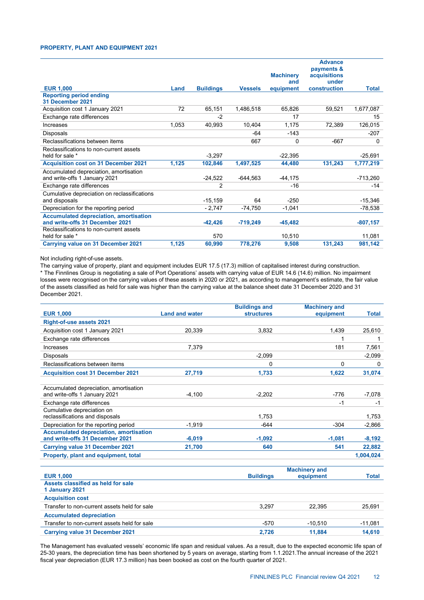## **PROPERTY, PLANT AND EQUIPMENT 2021**

|                                                                                  |       |                  |                | <b>Machinery</b><br>and | <b>Advance</b><br>payments &<br>acquisitions<br>under |              |
|----------------------------------------------------------------------------------|-------|------------------|----------------|-------------------------|-------------------------------------------------------|--------------|
| <b>EUR 1.000</b>                                                                 | Land  | <b>Buildings</b> | <b>Vessels</b> | equipment               | construction                                          | <b>Total</b> |
| <b>Reporting period ending</b><br>31 December 2021                               |       |                  |                |                         |                                                       |              |
| Acquisition cost 1 January 2021                                                  | 72    | 65,151           | 1,486,518      | 65,826                  | 59,521                                                | 1,677,087    |
| Exchange rate differences                                                        |       | $-2$             |                | 17                      |                                                       | 15           |
| Increases                                                                        | 1,053 | 40,993           | 10,404         | 1,175                   | 72,389                                                | 126,015      |
| <b>Disposals</b>                                                                 |       |                  | $-64$          | $-143$                  |                                                       | $-207$       |
| Reclassifications between items                                                  |       |                  | 667            | 0                       | $-667$                                                | $\mathbf{0}$ |
| Reclassifications to non-current assets                                          |       |                  |                |                         |                                                       |              |
| held for sale *                                                                  |       | $-3,297$         |                | $-22.395$               |                                                       | $-25,691$    |
| <b>Acquisition cost on 31 December 2021</b>                                      | 1,125 | 102,846          | 1,497,525      | 44,480                  | 131,243                                               | 1,777,219    |
| Accumulated depreciation, amortisation<br>and write-offs 1 January 2021          |       | $-24,522$        | -644,563       | -44,175                 |                                                       | $-713,260$   |
| Exchange rate differences                                                        |       | 2                |                | $-16$                   |                                                       | -14          |
| Cumulative depreciation on reclassifications                                     |       |                  |                |                         |                                                       |              |
| and disposals                                                                    |       | $-15,159$        | 64             | $-250$                  |                                                       | $-15,346$    |
| Depreciation for the reporting period                                            |       | $-2,747$         | $-74,750$      | $-1,041$                |                                                       | $-78,538$    |
| <b>Accumulated depreciation, amortisation</b><br>and write-offs 31 December 2021 |       | $-42,426$        | $-719,249$     | $-45,482$               |                                                       | $-807,157$   |
| Reclassifications to non-current assets<br>held for sale *                       |       | 570              |                | 10,510                  |                                                       | 11,081       |
| <b>Carrying value on 31 December 2021</b>                                        | 1,125 | 60,990           | 778,276        | 9,508                   | 131,243                                               | 981,142      |

Not including right-of-use assets.

The carrying value of property, plant and equipment includes EUR 17.5 (17.3) million of capitalised interest during construction. \* The Finnlines Group is negotiating a sale of Port Operations' assets with carrying value of EUR 14.6 (14.6) million. No impairment losses were recognised on the carrying values of these assets in 2020 or 2021, as according to management's estimate, the fair value of the assets classified as held for sale was higher than the carrying value at the balance sheet date 31 December 2020 and 31 December 2021.

|                                                                                  |                       | <b>Buildings and</b> | <b>Machinery and</b> |              |
|----------------------------------------------------------------------------------|-----------------------|----------------------|----------------------|--------------|
| <b>EUR 1,000</b>                                                                 | <b>Land and water</b> | <b>structures</b>    | equipment            | <b>Total</b> |
| <b>Right-of-use assets 2021</b>                                                  |                       |                      |                      |              |
| Acquisition cost 1 January 2021                                                  | 20.339                | 3.832                | 1,439                | 25.610       |
| Exchange rate differences                                                        |                       |                      | 1                    | 1            |
| Increases                                                                        | 7.379                 |                      | 181                  | 7,561        |
| Disposals                                                                        |                       | $-2,099$             |                      | $-2,099$     |
| Reclassifications between items                                                  |                       | 0                    | $\Omega$             | 0            |
| <b>Acquisition cost 31 December 2021</b>                                         | 27,719                | 1,733                | 1,622                | 31,074       |
|                                                                                  |                       |                      |                      |              |
| Accumulated depreciation, amortisation                                           |                       |                      |                      |              |
| and write-offs 1 January 2021                                                    | $-4.100$              | $-2.202$             | $-776$               | $-7.078$     |
| Exchange rate differences                                                        |                       |                      | $-1$                 | $-1$         |
| Cumulative depreciation on                                                       |                       |                      |                      |              |
| reclassifications and disposals                                                  |                       | 1,753                |                      | 1,753        |
| Depreciation for the reporting period                                            | $-1,919$              | $-644$               | $-304$               | $-2,866$     |
| <b>Accumulated depreciation, amortisation</b><br>and write-offs 31 December 2021 | $-6,019$              | $-1.092$             | $-1,081$             | $-8,192$     |
|                                                                                  |                       |                      |                      |              |
| <b>Carrying value 31 December 2021</b>                                           | 21.700                | 640                  | 541                  | 22,882       |
| Property, plant and equipment, total                                             |                       |                      |                      | 1,004,024    |
|                                                                                  |                       |                      | <b>Machinery and</b> |              |
| <b>EUR 1,000</b>                                                                 |                       | <b>Buildings</b>     | equipment            | <b>Total</b> |
| Assets classified as held for sale                                               |                       |                      |                      |              |
| 1 January 2021                                                                   |                       |                      |                      |              |
| <b>Acquisition cost</b>                                                          |                       |                      |                      |              |
| Transfer to non-current assets held for sale                                     |                       | 3,297                | 22,395               | 25,691       |
| <b>Accumulated depreciation</b>                                                  |                       |                      |                      |              |
| Transfer to non-current assets held for sale                                     |                       | $-570$               | $-10.510$            | $-11,081$    |
| <b>Carrying value 31 December 2021</b>                                           |                       | 2.726                | 11.884               | 14.610       |

The Management has evaluated vessels' economic life span and residual values. As a result, due to the expected economic life span of 25-30 years, the depreciation time has been shortened by 5 years on average, starting from 1.1.2021.The annual increase of the 2021 fiscal year depreciation (EUR 17.3 million) has been booked as cost on the fourth quarter of 2021.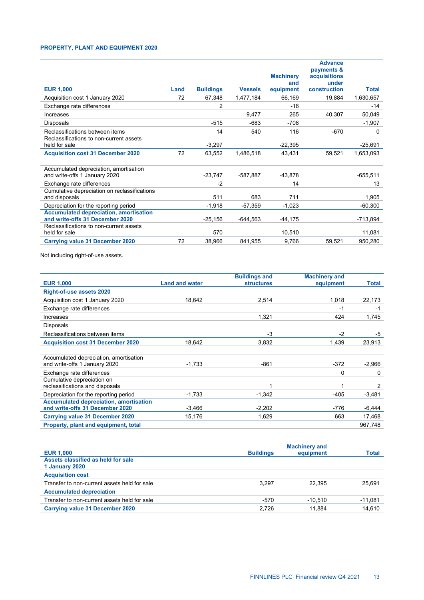# **PROPERTY, PLANT AND EQUIPMENT 2020**

| <b>EUR 1,000</b>                                                                 | Land | <b>Buildings</b> | <b>Vessels</b> | <b>Machinery</b><br>and<br>equipment | <b>Advance</b><br>payments &<br>acquisitions<br>under<br>construction | <b>Total</b> |
|----------------------------------------------------------------------------------|------|------------------|----------------|--------------------------------------|-----------------------------------------------------------------------|--------------|
| Acquisition cost 1 January 2020                                                  | 72   | 67,348           | 1,477,184      | 66,169                               | 19,884                                                                | 1,630,657    |
| Exchange rate differences                                                        |      | $\overline{2}$   |                | $-16$                                |                                                                       | $-14$        |
| Increases                                                                        |      |                  | 9,477          | 265                                  | 40,307                                                                | 50,049       |
| Disposals                                                                        |      | $-515$           | $-683$         | $-708$                               |                                                                       | $-1,907$     |
| Reclassifications between items                                                  |      | 14               | 540            | 116                                  | $-670$                                                                | 0            |
| Reclassifications to non-current assets<br>held for sale                         |      | $-3,297$         |                | $-22,395$                            |                                                                       | $-25,691$    |
| <b>Acquisition cost 31 December 2020</b>                                         | 72   | 63,552           | 1,486,518      | 43,431                               | 59,521                                                                | 1,653,093    |
| Accumulated depreciation, amortisation                                           |      |                  |                |                                      |                                                                       |              |
| and write-offs 1 January 2020                                                    |      | $-23,747$        | -587,887       | -43,878                              |                                                                       | $-655,511$   |
| Exchange rate differences<br>Cumulative depreciation on reclassifications        |      | $-2$             |                | 14                                   |                                                                       | 13           |
| and disposals                                                                    |      | 511              | 683            | 711                                  |                                                                       | 1,905        |
| Depreciation for the reporting period                                            |      | $-1,918$         | -57,359        | $-1,023$                             |                                                                       | $-60,300$    |
| <b>Accumulated depreciation, amortisation</b><br>and write-offs 31 December 2020 |      | $-25,156$        | $-644.563$     | $-44,175$                            |                                                                       | -713,894     |
| Reclassifications to non-current assets<br>held for sale                         |      | 570              |                | 10,510                               |                                                                       | 11,081       |
| <b>Carrying value 31 December 2020</b>                                           | 72   | 38,966           | 841,955        | 9,766                                | 59,521                                                                | 950,280      |

Not including right-of-use assets.

|                                                                         |                       | <b>Buildings and</b> | <b>Machinery and</b> |              |
|-------------------------------------------------------------------------|-----------------------|----------------------|----------------------|--------------|
| <b>EUR 1,000</b>                                                        | <b>Land and water</b> | <b>structures</b>    | equipment            | <b>Total</b> |
| <b>Right-of-use assets 2020</b>                                         |                       |                      |                      |              |
| Acquisition cost 1 January 2020                                         | 18.642                | 2,514                | 1,018                | 22,173       |
| Exchange rate differences                                               |                       |                      | $-1$                 | $-1$         |
| Increases                                                               |                       | 1.321                | 424                  | 1.745        |
| Disposals                                                               |                       |                      |                      |              |
| Reclassifications between items                                         |                       | $-3$                 | $-2$                 | $-5$         |
| <b>Acquisition cost 31 December 2020</b>                                | 18.642                | 3,832                | 1,439                | 23,913       |
|                                                                         |                       |                      |                      |              |
| Accumulated depreciation, amortisation<br>and write-offs 1 January 2020 | $-1.733$              | $-861$               | $-372$               | $-2,966$     |
| Exchange rate differences                                               |                       |                      | 0                    | $\Omega$     |
| Cumulative depreciation on                                              |                       |                      |                      |              |
| reclassifications and disposals                                         |                       | 1                    | 1                    | 2            |
| Depreciation for the reporting period                                   | $-1.733$              | $-1,342$             | $-405$               | $-3,481$     |
| <b>Accumulated depreciation, amortisation</b>                           |                       |                      |                      |              |
| and write-offs 31 December 2020                                         | $-3,466$              | $-2,202$             | -776                 | -6,444       |
| <b>Carrying value 31 December 2020</b>                                  | 15,176                | 1,629                | 663                  | 17,468       |
| Property, plant and equipment, total                                    |                       |                      |                      | 967,748      |

|                                              | <b>Machinery and</b> |           |              |
|----------------------------------------------|----------------------|-----------|--------------|
| <b>EUR 1,000</b>                             | <b>Buildings</b>     | equipment | <b>Total</b> |
| Assets classified as held for sale           |                      |           |              |
| 1 January 2020                               |                      |           |              |
| <b>Acquisition cost</b>                      |                      |           |              |
| Transfer to non-current assets held for sale | 3.297                | 22.395    | 25.691       |
| <b>Accumulated depreciation</b>              |                      |           |              |
| Transfer to non-current assets held for sale | $-570$               | $-10.510$ | $-11,081$    |
| Carrying value 31 December 2020              | 2.726                | 11.884    | 14,610       |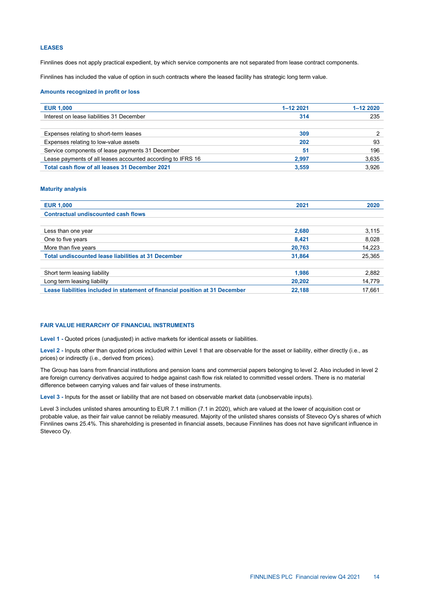## **LEASES**

Finnlines does not apply practical expedient, by which service components are not separated from lease contract components.

Finnlines has included the value of option in such contracts where the leased facility has strategic long term value.

## **Amounts recognized in profit or loss**

| <b>EUR 1,000</b>                                            | 1-12 2021 | $1 - 122020$ |
|-------------------------------------------------------------|-----------|--------------|
| Interest on lease liabilities 31 December                   | 314       | 235          |
|                                                             |           |              |
| Expenses relating to short-term leases                      | 309       |              |
| Expenses relating to low-value assets                       | 202       | 93           |
| Service components of lease payments 31 December            | 51        | 196          |
| Lease payments of all leases accounted according to IFRS 16 | 2.997     | 3,635        |
| Total cash flow of all leases 31 December 2021              | 3.559     | 3.926        |

## **Maturity analysis**

| <b>EUR 1,000</b>                                                             | 2021   | 2020   |
|------------------------------------------------------------------------------|--------|--------|
| <b>Contractual undiscounted cash flows</b>                                   |        |        |
|                                                                              |        |        |
| Less than one year                                                           | 2,680  | 3,115  |
| One to five years                                                            | 8.421  | 8,028  |
| More than five years                                                         | 20,763 | 14,223 |
| Total undiscounted lease liabilities at 31 December                          | 31,864 | 25,365 |
|                                                                              |        |        |
| Short term leasing liability                                                 | 1,986  | 2.882  |
| Long term leasing liability                                                  | 20,202 | 14,779 |
| Lease liabilities included in statement of financial position at 31 December | 22,188 | 17,661 |
|                                                                              |        |        |

## **FAIR VALUE HIERARCHY OF FINANCIAL INSTRUMENTS**

**Level 1 -** Quoted prices (unadjusted) in active markets for identical assets or liabilities.

**Level 2 -** Inputs other than quoted prices included within Level 1 that are observable for the asset or liability, either directly (i.e., as prices) or indirectly (i.e., derived from prices).

The Group has loans from financial institutions and pension loans and commercial papers belonging to level 2. Also included in level 2 are foreign currency derivatives acquired to hedge against cash flow risk related to committed vessel orders. There is no material difference between carrying values and fair values of these instruments.

**Level 3 -** Inputs for the asset or liability that are not based on observable market data (unobservable inputs).

Level 3 includes unlisted shares amounting to EUR 7.1 million (7.1 in 2020), which are valued at the lower of acquisition cost or probable value, as their fair value cannot be reliably measured. Majority of the unlisted shares consists of Steveco Oy's shares of which Finnlines owns 25.4%. This shareholding is presented in financial assets, because Finnlines has does not have significant influence in Steveco Oy.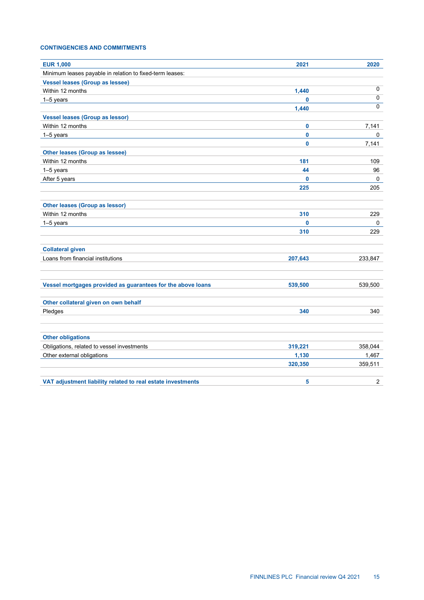# **CONTINGENCIES AND COMMITMENTS**

| <b>EUR 1,000</b>                                            | 2021    | 2020           |
|-------------------------------------------------------------|---------|----------------|
| Minimum leases payable in relation to fixed-term leases:    |         |                |
| <b>Vessel leases (Group as lessee)</b>                      |         |                |
| Within 12 months                                            | 1,440   | 0              |
| 1-5 years                                                   | 0       | 0              |
|                                                             | 1,440   | $\Omega$       |
| <b>Vessel leases (Group as lessor)</b>                      |         |                |
| Within 12 months                                            | 0       | 7,141          |
| 1-5 years                                                   | 0       | 0              |
|                                                             | 0       | 7,141          |
| <b>Other leases (Group as lessee)</b>                       |         |                |
| Within 12 months                                            | 181     | 109            |
| 1-5 years                                                   | 44      | 96             |
| After 5 years                                               | 0       | 0              |
|                                                             | 225     | 205            |
|                                                             |         |                |
| <b>Other leases (Group as lessor)</b>                       |         |                |
| Within 12 months                                            | 310     | 229            |
| 1-5 years                                                   | 0       | 0              |
|                                                             | 310     | 229            |
|                                                             |         |                |
| <b>Collateral given</b>                                     |         |                |
| Loans from financial institutions                           | 207,643 | 233,847        |
|                                                             |         |                |
|                                                             |         |                |
| Vessel mortgages provided as guarantees for the above loans | 539,500 | 539,500        |
|                                                             |         |                |
| Other collateral given on own behalf                        |         |                |
| Pledges                                                     | 340     | 340            |
|                                                             |         |                |
|                                                             |         |                |
| <b>Other obligations</b>                                    |         |                |
| Obligations, related to vessel investments                  | 319,221 | 358,044        |
| Other external obligations                                  | 1,130   | 1,467          |
|                                                             | 320,350 | 359,511        |
|                                                             |         |                |
| VAT adjustment liability related to real estate investments | 5       | $\overline{2}$ |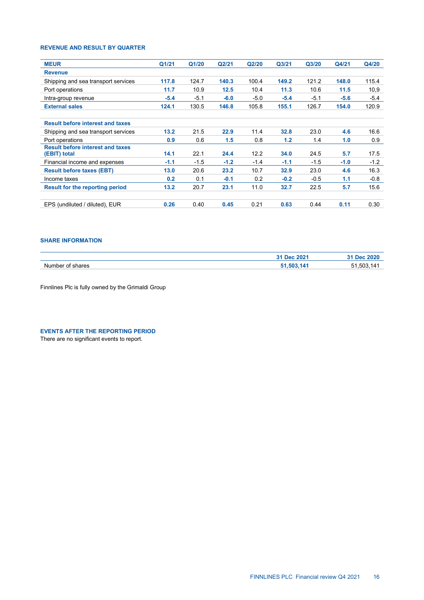# **REVENUE AND RESULT BY QUARTER**

| <b>MEUR</b>                                             | Q1/21  | Q1/20  | Q2/21  | Q2/20  | Q <sub>3/21</sub> | Q3/20  | Q4/21  | Q4/20  |
|---------------------------------------------------------|--------|--------|--------|--------|-------------------|--------|--------|--------|
| <b>Revenue</b>                                          |        |        |        |        |                   |        |        |        |
| Shipping and sea transport services                     | 117.8  | 124.7  | 140.3  | 100.4  | 149.2             | 121.2  | 148.0  | 115.4  |
| Port operations                                         | 11.7   | 10.9   | 12.5   | 10.4   | 11.3              | 10.6   | 11.5   | 10,9   |
| Intra-group revenue                                     | $-5.4$ | $-5.1$ | $-6.0$ | $-5.0$ | $-5.4$            | $-5.1$ | $-5.6$ | $-5.4$ |
| <b>External sales</b>                                   | 124.1  | 130.5  | 146.8  | 105.8  | 155.1             | 126.7  | 154.0  | 120.9  |
| <b>Result before interest and taxes</b>                 |        |        |        |        |                   |        |        |        |
| Shipping and sea transport services                     | 13.2   | 21.5   | 22.9   | 11.4   | 32.8              | 23.0   | 4.6    | 16.6   |
| Port operations                                         | 0.9    | 0.6    | 1.5    | 0.8    | 1.2               | 1.4    | 1.0    | 0.9    |
| <b>Result before interest and taxes</b><br>(EBIT) total | 14.1   | 22.1   | 24.4   | 12.2   | 34.0              | 24.5   | 5.7    | 17.5   |
| Financial income and expenses                           | $-1.1$ | $-1.5$ | $-1.2$ | $-1.4$ | $-1.1$            | $-1.5$ | $-1.0$ | $-1.2$ |
| <b>Result before taxes (EBT)</b>                        | 13.0   | 20.6   | 23.2   | 10.7   | 32.9              | 23.0   | 4.6    | 16.3   |
| Income taxes                                            | 0.2    | 0.1    | $-0.1$ | 0.2    | $-0.2$            | $-0.5$ | 1.1    | $-0.8$ |
| <b>Result for the reporting period</b>                  | 13.2   | 20.7   | 23.1   | 11.0   | 32.7              | 22.5   | 5.7    | 15.6   |
| EPS (undiluted / diluted), EUR                          | 0.26   | 0.40   | 0.45   | 0.21   | 0.63              | 0.44   | 0.11   | 0.30   |

## **SHARE INFORMATION**

|                      | 31 Dec 2021 | 31 Dec 2020 |
|----------------------|-------------|-------------|
| Number of<br>`shares | 51.503.141  | 51.503.141  |
|                      |             |             |

Finnlines Plc is fully owned by the Grimaldi Group

**EVENTS AFTER THE REPORTING PERIOD**

There are no significant events to report.